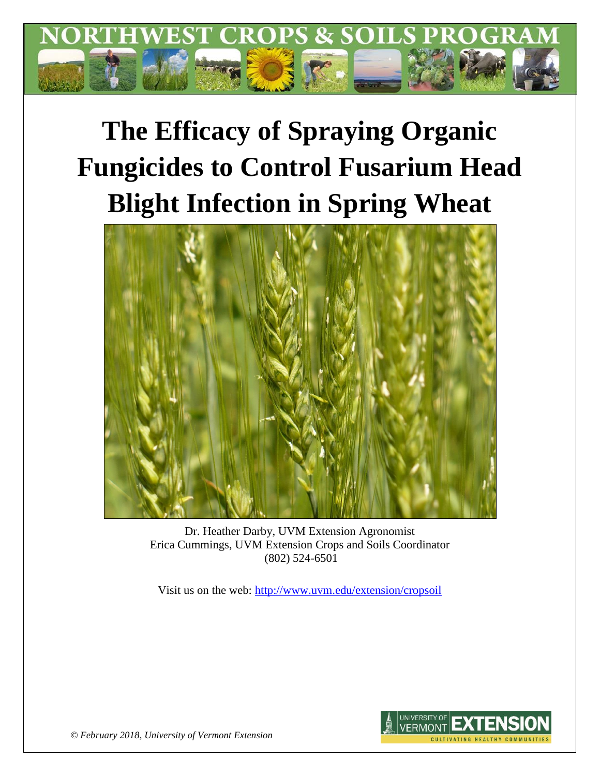

# **The Efficacy of Spraying Organic Fungicides to Control Fusarium Head Blight Infection in Spring Wheat**



Dr. Heather Darby, UVM Extension Agronomist Erica Cummings, UVM Extension Crops and Soils Coordinator (802) 524-6501

Visit us on the web:<http://www.uvm.edu/extension/cropsoil>



*© February 2018, University of Vermont Extension*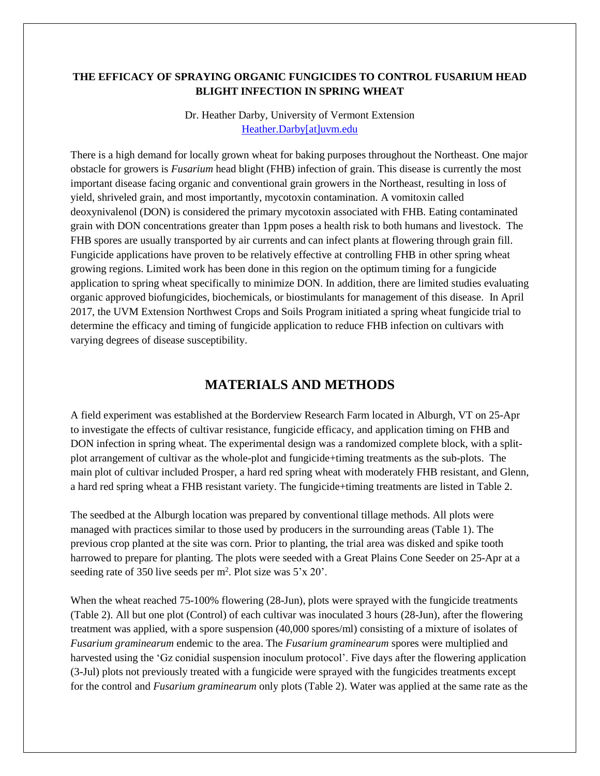#### **THE EFFICACY OF SPRAYING ORGANIC FUNGICIDES TO CONTROL FUSARIUM HEAD BLIGHT INFECTION IN SPRING WHEAT**

Dr. Heather Darby, University of Vermont Extension [Heather.Darby\[at\]uvm.edu](mailto:Heather.Darby@uvm.edu)

There is a high demand for locally grown wheat for baking purposes throughout the Northeast. One major obstacle for growers is *Fusarium* head blight (FHB) infection of grain. This disease is currently the most important disease facing organic and conventional grain growers in the Northeast, resulting in loss of yield, shriveled grain, and most importantly, mycotoxin contamination. A vomitoxin called deoxynivalenol (DON) is considered the primary mycotoxin associated with FHB. Eating contaminated grain with DON concentrations greater than 1ppm poses a health risk to both humans and livestock. The FHB spores are usually transported by air currents and can infect plants at flowering through grain fill. Fungicide applications have proven to be relatively effective at controlling FHB in other spring wheat growing regions. Limited work has been done in this region on the optimum timing for a fungicide application to spring wheat specifically to minimize DON. In addition, there are limited studies evaluating organic approved biofungicides, biochemicals, or biostimulants for management of this disease. In April 2017, the UVM Extension Northwest Crops and Soils Program initiated a spring wheat fungicide trial to determine the efficacy and timing of fungicide application to reduce FHB infection on cultivars with varying degrees of disease susceptibility.

## **MATERIALS AND METHODS**

A field experiment was established at the Borderview Research Farm located in Alburgh, VT on 25-Apr to investigate the effects of cultivar resistance, fungicide efficacy, and application timing on FHB and DON infection in spring wheat. The experimental design was a randomized complete block, with a splitplot arrangement of cultivar as the whole-plot and fungicide+timing treatments as the sub-plots. The main plot of cultivar included Prosper, a hard red spring wheat with moderately FHB resistant, and Glenn, a hard red spring wheat a FHB resistant variety. The fungicide+timing treatments are listed in Table 2.

The seedbed at the Alburgh location was prepared by conventional tillage methods. All plots were managed with practices similar to those used by producers in the surrounding areas (Table 1). The previous crop planted at the site was corn. Prior to planting, the trial area was disked and spike tooth harrowed to prepare for planting. The plots were seeded with a Great Plains Cone Seeder on 25-Apr at a seeding rate of 350 live seeds per  $m^2$ . Plot size was  $5'x 20'$ .

When the wheat reached 75-100% flowering (28-Jun), plots were sprayed with the fungicide treatments (Table 2). All but one plot (Control) of each cultivar was inoculated 3 hours (28-Jun), after the flowering treatment was applied, with a spore suspension (40,000 spores/ml) consisting of a mixture of isolates of *Fusarium graminearum* endemic to the area. The *Fusarium graminearum* spores were multiplied and harvested using the 'Gz conidial suspension inoculum protocol'. Five days after the flowering application (3-Jul) plots not previously treated with a fungicide were sprayed with the fungicides treatments except for the control and *Fusarium graminearum* only plots (Table 2). Water was applied at the same rate as the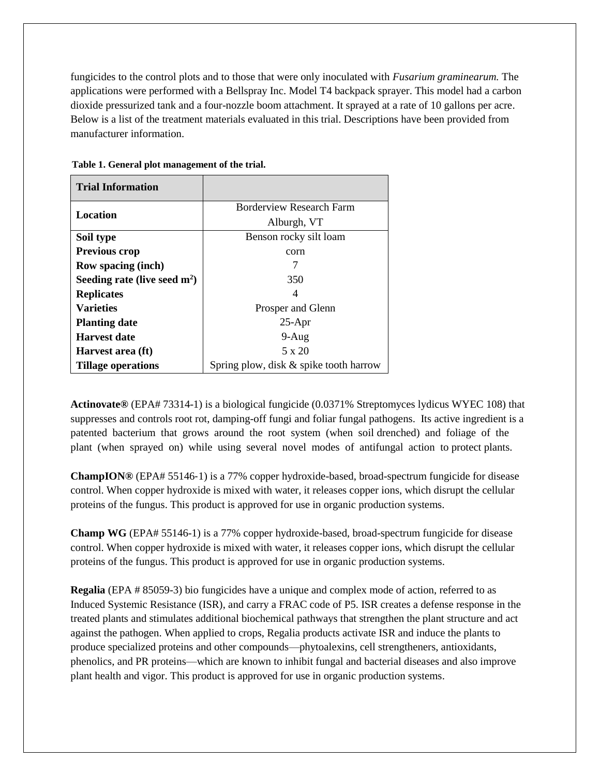fungicides to the control plots and to those that were only inoculated with *Fusarium graminearum.* The applications were performed with a Bellspray Inc. Model T4 backpack sprayer. This model had a carbon dioxide pressurized tank and a four-nozzle boom attachment. It sprayed at a rate of 10 gallons per acre. Below is a list of the treatment materials evaluated in this trial. Descriptions have been provided from manufacturer information.

| <b>Trial Information</b>       |                                           |
|--------------------------------|-------------------------------------------|
| Location                       | Borderview Research Farm                  |
|                                | Alburgh, VT                               |
| Soil type                      | Benson rocky silt loam                    |
| <b>Previous crop</b>           | corn                                      |
| <b>Row spacing (inch)</b>      |                                           |
| Seeding rate (live seed $m2$ ) | 350                                       |
| <b>Replicates</b>              | 4                                         |
| <b>Varieties</b>               | Prosper and Glenn                         |
| <b>Planting date</b>           | $25-Apr$                                  |
| <b>Harvest date</b>            | $9-Aug$                                   |
| Harvest area (ft)              | 5 x 20                                    |
| <b>Tillage operations</b>      | Spring plow, disk $\&$ spike tooth harrow |

**Table 1. General plot management of the trial.**

**Actinovate®** (EPA# 73314-1) is a biological fungicide (0.0371% Streptomyces lydicus WYEC 108) that suppresses and controls root rot, damping-off fungi and foliar fungal pathogens. Its active ingredient is a patented bacterium that grows around the root system (when soil drenched) and foliage of the plant (when sprayed on) while using several novel modes of antifungal action to protect plants.

**ChampION®** (EPA# 55146‐1) is a 77% copper hydroxide-based, broad-spectrum fungicide for disease control. When copper hydroxide is mixed with water, it releases copper ions, which disrupt the cellular proteins of the fungus. This product is approved for use in organic production systems.

**Champ WG** (EPA# 55146-1) is a 77% copper hydroxide-based, broad-spectrum fungicide for disease control. When copper hydroxide is mixed with water, it releases copper ions, which disrupt the cellular proteins of the fungus. This product is approved for use in organic production systems.

**Regalia** (EPA # 85059-3) bio fungicides have a unique and complex mode of action, referred to as Induced Systemic Resistance (ISR), and carry a FRAC code of P5. ISR creates a defense response in the treated plants and stimulates additional biochemical pathways that strengthen the plant structure and act against the pathogen. When applied to crops, Regalia products activate ISR and induce the plants to produce specialized proteins and other compounds—phytoalexins, cell strengtheners, antioxidants, phenolics, and PR proteins—which are known to inhibit fungal and bacterial diseases and also improve plant health and vigor. This product is approved for use in organic production systems.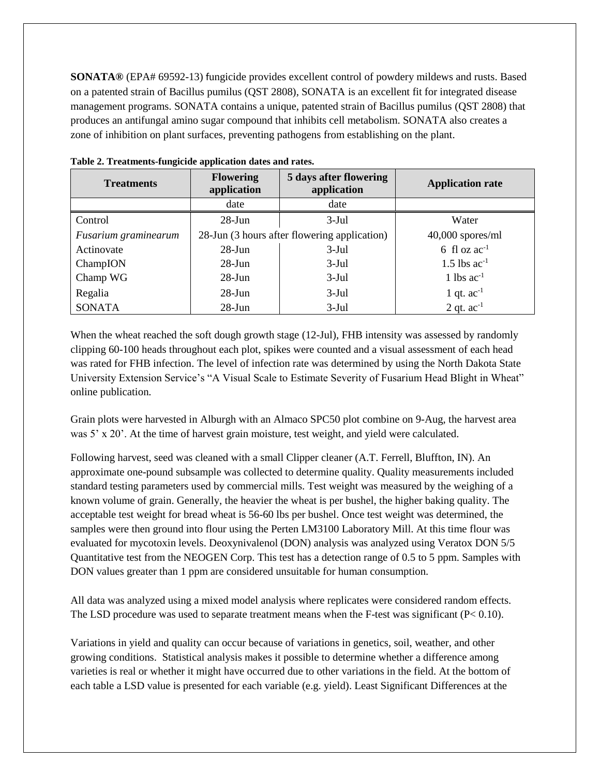**SONATA®** (EPA# 69592-13) fungicide provides excellent control of powdery mildews and rusts. Based on a patented strain of Bacillus pumilus (QST 2808), SONATA is an excellent fit for integrated disease management programs. SONATA contains a unique, patented strain of Bacillus pumilus (QST 2808) that produces an antifungal amino sugar compound that inhibits cell metabolism. SONATA also creates a zone of inhibition on plant surfaces, preventing pathogens from establishing on the plant.

| <b>Treatments</b>    | 5 days after flowering<br><b>Flowering</b><br>application<br>application |                                              | <b>Application rate</b>    |
|----------------------|--------------------------------------------------------------------------|----------------------------------------------|----------------------------|
|                      | date                                                                     | date                                         |                            |
| Control              | $28 - Jun$                                                               | $3-Jul$                                      | Water                      |
| Fusarium graminearum |                                                                          | 28-Jun (3 hours after flowering application) | $40,000$ spores/ml         |
| Actinovate           | $28$ -Jun<br>$3-Jul$                                                     |                                              | 6 fl oz $ac^{-1}$          |
| ChampION             | $28 - Jun$                                                               | $3-Jul$                                      | $1.5$ lbs ac <sup>-1</sup> |
| Champ WG             | $28$ -Jun                                                                | $3-Jul$                                      | 1 lbs $ac^{-1}$            |
| Regalia              | $28$ -Jun                                                                | $3-Jul$                                      | 1 qt. $ac^{-1}$            |
| <b>SONATA</b>        | $28-Jun$                                                                 | $3-Jul$                                      | 2 qt. $ac^{-1}$            |

**Table 2. Treatments-fungicide application dates and rates.**

When the wheat reached the soft dough growth stage (12-Jul), FHB intensity was assessed by randomly clipping 60-100 heads throughout each plot, spikes were counted and a visual assessment of each head was rated for FHB infection. The level of infection rate was determined by using the North Dakota State University Extension Service's "A Visual Scale to Estimate Severity of Fusarium Head Blight in Wheat" online publication.

Grain plots were harvested in Alburgh with an Almaco SPC50 plot combine on 9-Aug, the harvest area was 5' x 20'. At the time of harvest grain moisture, test weight, and yield were calculated.

Following harvest, seed was cleaned with a small Clipper cleaner (A.T. Ferrell, Bluffton, IN). An approximate one-pound subsample was collected to determine quality. Quality measurements included standard testing parameters used by commercial mills. Test weight was measured by the weighing of a known volume of grain. Generally, the heavier the wheat is per bushel, the higher baking quality. The acceptable test weight for bread wheat is 56-60 lbs per bushel. Once test weight was determined, the samples were then ground into flour using the Perten LM3100 Laboratory Mill. At this time flour was evaluated for mycotoxin levels. Deoxynivalenol (DON) analysis was analyzed using Veratox DON 5/5 Quantitative test from the NEOGEN Corp. This test has a detection range of 0.5 to 5 ppm. Samples with DON values greater than 1 ppm are considered unsuitable for human consumption.

All data was analyzed using a mixed model analysis where replicates were considered random effects. The LSD procedure was used to separate treatment means when the F-test was significant (P< 0.10).

Variations in yield and quality can occur because of variations in genetics, soil, weather, and other growing conditions. Statistical analysis makes it possible to determine whether a difference among varieties is real or whether it might have occurred due to other variations in the field. At the bottom of each table a LSD value is presented for each variable (e.g. yield). Least Significant Differences at the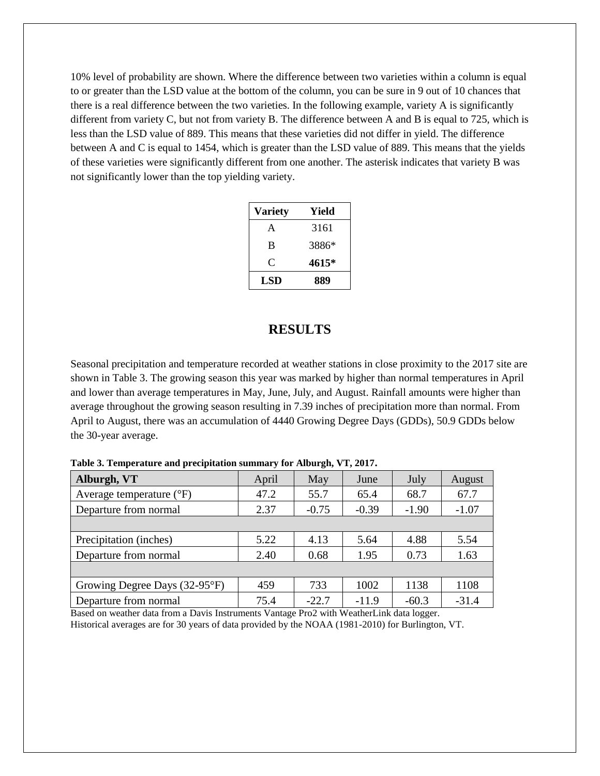10% level of probability are shown. Where the difference between two varieties within a column is equal to or greater than the LSD value at the bottom of the column, you can be sure in 9 out of 10 chances that there is a real difference between the two varieties. In the following example, variety A is significantly different from variety C, but not from variety B. The difference between A and B is equal to 725, which is less than the LSD value of 889. This means that these varieties did not differ in yield. The difference between A and C is equal to 1454, which is greater than the LSD value of 889. This means that the yields of these varieties were significantly different from one another. The asterisk indicates that variety B was not significantly lower than the top yielding variety.

| <b>Variety</b> | Yield |
|----------------|-------|
| A              | 3161  |
| B              | 3886* |
| C              | 4615* |
| LSD            | 889   |

### **RESULTS**

Seasonal precipitation and temperature recorded at weather stations in close proximity to the 2017 site are shown in Table 3. The growing season this year was marked by higher than normal temperatures in April and lower than average temperatures in May, June, July, and August. Rainfall amounts were higher than average throughout the growing season resulting in 7.39 inches of precipitation more than normal. From April to August, there was an accumulation of 4440 Growing Degree Days (GDDs), 50.9 GDDs below the 30-year average.

| Alburgh, VT                       | April | May     | June    | July    | August  |
|-----------------------------------|-------|---------|---------|---------|---------|
| Average temperature $(^{\circ}F)$ | 47.2  | 55.7    | 65.4    | 68.7    | 67.7    |
| Departure from normal             | 2.37  | $-0.75$ | $-0.39$ | $-1.90$ | $-1.07$ |
|                                   |       |         |         |         |         |
| Precipitation (inches)            | 5.22  | 4.13    | 5.64    | 4.88    | 5.54    |
| Departure from normal             | 2.40  | 0.68    | 1.95    | 0.73    | 1.63    |
|                                   |       |         |         |         |         |
| Growing Degree Days (32-95°F)     | 459   | 733     | 1002    | 1138    | 1108    |
| Departure from normal             | 75.4  | $-22.7$ | $-11.9$ | $-60.3$ | $-31.4$ |

**Table 3. Temperature and precipitation summary for Alburgh, VT, 2017.**

Based on weather data from a Davis Instruments Vantage Pro2 with WeatherLink data logger. Historical averages are for 30 years of data provided by the NOAA (1981-2010) for Burlington, VT.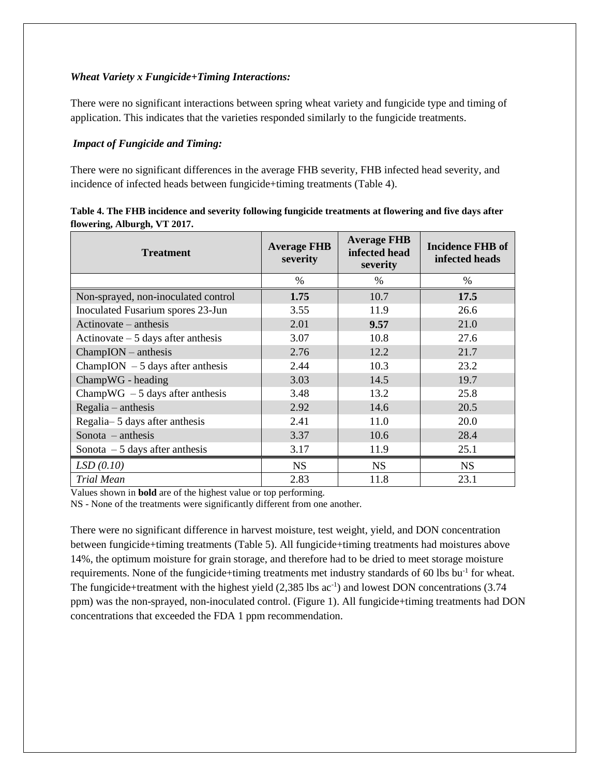#### *Wheat Variety x Fungicide+Timing Interactions:*

There were no significant interactions between spring wheat variety and fungicide type and timing of application. This indicates that the varieties responded similarly to the fungicide treatments.

#### *Impact of Fungicide and Timing:*

There were no significant differences in the average FHB severity, FHB infected head severity, and incidence of infected heads between fungicide+timing treatments (Table 4).

| <b>Treatment</b>                    | <b>Average FHB</b><br>severity | <b>Average FHB</b><br>infected head<br>severity | <b>Incidence FHB of</b><br>infected heads |  |
|-------------------------------------|--------------------------------|-------------------------------------------------|-------------------------------------------|--|
|                                     | $\%$                           | $\%$                                            | $\%$                                      |  |
| Non-sprayed, non-inoculated control | 1.75                           | 10.7                                            | 17.5                                      |  |
| Inoculated Fusarium spores 23-Jun   | 3.55                           | 11.9                                            | 26.6                                      |  |
| Actinovate – anthesis               | 2.01                           | 9.57                                            | 21.0                                      |  |
| Actinovate $-5$ days after anthesis | 3.07                           | 10.8                                            | 27.6                                      |  |
| $ChampION - anthesis$               | 2.76                           | 12.2                                            | 21.7                                      |  |
| ChampION $-5$ days after anthesis   | 2.44                           | 10.3                                            | 23.2                                      |  |
| ChampWG - heading                   | 3.03                           | 14.5                                            | 19.7                                      |  |
| ChampWG $-5$ days after anthesis    | 3.48                           | 13.2                                            | 25.8                                      |  |
| $Regular - anthesis$                | 2.92                           | 14.6                                            | 20.5                                      |  |
| Regalia-5 days after anthesis       | 2.41                           | 11.0                                            | 20.0                                      |  |
| Sonota $-$ anthesis                 | 3.37                           | 10.6                                            | 28.4                                      |  |
| Sonota $-5$ days after anthesis     | 3.17                           | 11.9                                            | 25.1                                      |  |
| LSD(0.10)                           | <b>NS</b>                      | <b>NS</b>                                       | <b>NS</b>                                 |  |
| <b>Trial Mean</b>                   | 2.83                           | 11.8                                            | 23.1                                      |  |

| Table 4. The FHB incidence and severity following fungicide treatments at flowering and five days after |  |
|---------------------------------------------------------------------------------------------------------|--|
| flowering, Alburgh, VT 2017.                                                                            |  |

Values shown in **bold** are of the highest value or top performing.

NS - None of the treatments were significantly different from one another.

There were no significant difference in harvest moisture, test weight, yield, and DON concentration between fungicide+timing treatments (Table 5). All fungicide+timing treatments had moistures above 14%, the optimum moisture for grain storage, and therefore had to be dried to meet storage moisture requirements. None of the fungicide+timing treatments met industry standards of 60 lbs bu<sup>-1</sup> for wheat. The fungicide+treatment with the highest yield (2,385 lbs ac<sup>-1</sup>) and lowest DON concentrations (3.74 ppm) was the non-sprayed, non-inoculated control. (Figure 1). All fungicide+timing treatments had DON concentrations that exceeded the FDA 1 ppm recommendation.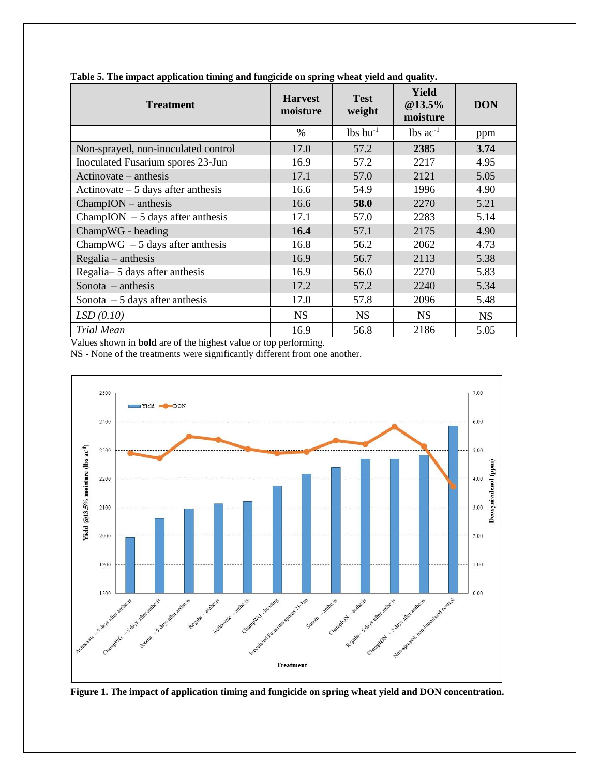| <b>Treatment</b>                    | <b>Harvest</b><br>moisture | <b>Test</b><br>weight  | <b>Yield</b><br>@13.5%<br>moisture | <b>DON</b> |
|-------------------------------------|----------------------------|------------------------|------------------------------------|------------|
|                                     | %                          | $lbs$ bu <sup>-1</sup> | $lbs$ ac <sup>-1</sup>             | ppm        |
| Non-sprayed, non-inoculated control | 17.0                       | 57.2                   | 2385                               | 3.74       |
| Inoculated Fusarium spores 23-Jun   | 16.9                       | 57.2                   | 2217                               | 4.95       |
| $Actionovate - anthesis$            | 17.1                       | 57.0                   | 2121                               | 5.05       |
| Actinovate $-5$ days after anthesis | 16.6                       | 54.9                   | 1996                               | 4.90       |
| $ChampION - anthesis$               | 16.6                       | 58.0                   | 2270                               | 5.21       |
| ChampION $-5$ days after anthesis   | 17.1                       | 57.0                   | 2283                               | 5.14       |
| ChampWG - heading                   | 16.4                       | 57.1                   | 2175                               | 4.90       |
| ChampWG $-5$ days after anthesis    | 16.8                       | 56.2                   | 2062                               | 4.73       |
| $Regular - anthesis$                | 16.9                       | 56.7                   | 2113                               | 5.38       |
| Regalia-5 days after anthesis       | 16.9                       | 56.0                   | 2270                               | 5.83       |
| Sonota $-$ anthesis                 | 17.2                       | 57.2                   | 2240                               | 5.34       |
| Sonota $-5$ days after anthesis     | 17.0                       | 57.8                   | 2096                               | 5.48       |
| LSD(0.10)                           | <b>NS</b>                  | <b>NS</b>              | <b>NS</b>                          | <b>NS</b>  |
| Trial Mean                          | 16.9                       | 56.8                   | 2186                               | 5.05       |

**Table 5. The impact application timing and fungicide on spring wheat yield and quality.**

Values shown in **bold** are of the highest value or top performing.

NS - None of the treatments were significantly different from one another.



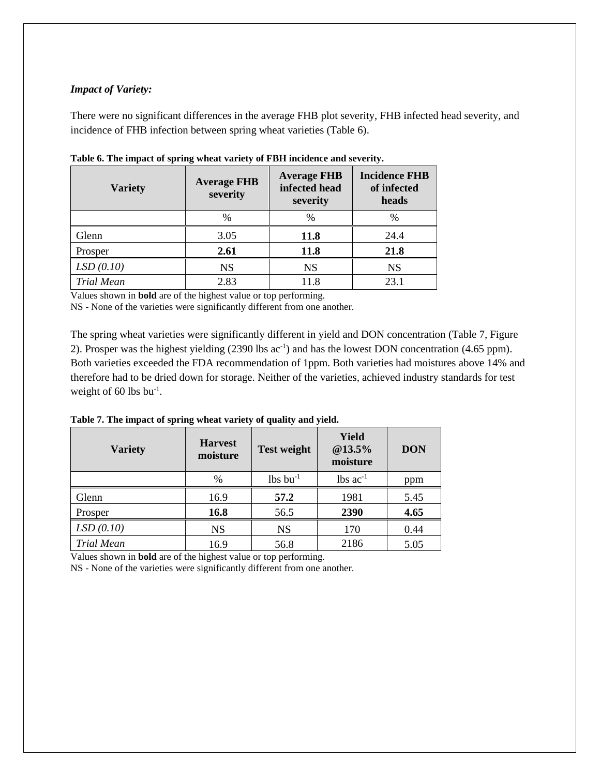#### *Impact of Variety:*

There were no significant differences in the average FHB plot severity, FHB infected head severity, and incidence of FHB infection between spring wheat varieties (Table 6).

| <b>Variety</b>    | <b>Average FHB</b><br>severity | <b>Average FHB</b><br>infected head<br>severity | <b>Incidence FHB</b><br>of infected<br>heads |  |
|-------------------|--------------------------------|-------------------------------------------------|----------------------------------------------|--|
|                   | $\%$                           | %                                               | $\%$                                         |  |
| Glenn             | 3.05                           | 11.8                                            | 24.4                                         |  |
| Prosper           | 2.61                           | <b>11.8</b>                                     | 21.8                                         |  |
| LSD(0.10)         | <b>NS</b>                      | <b>NS</b>                                       | <b>NS</b>                                    |  |
| <b>Trial Mean</b> | 2.83                           | 11.8                                            | 23.1                                         |  |

**Table 6. The impact of spring wheat variety of FBH incidence and severity.**

Values shown in **bold** are of the highest value or top performing.

NS - None of the varieties were significantly different from one another.

The spring wheat varieties were significantly different in yield and DON concentration (Table 7, Figure 2). Prosper was the highest yielding  $(2390 \text{ lbs } ac^{-1})$  and has the lowest DON concentration  $(4.65 \text{ ppm})$ . Both varieties exceeded the FDA recommendation of 1ppm. Both varieties had moistures above 14% and therefore had to be dried down for storage. Neither of the varieties, achieved industry standards for test weight of 60 lbs bu<sup>-1</sup>.

**Table 7. The impact of spring wheat variety of quality and yield.**

| <b>Variety</b>    | <b>Harvest</b><br>moisture | <b>Test weight</b>     | <b>Yield</b><br>@13.5%<br>moisture | <b>DON</b> |
|-------------------|----------------------------|------------------------|------------------------------------|------------|
|                   | $\%$                       | $lbs$ bu <sup>-1</sup> | $lbs$ ac <sup>-1</sup>             | ppm        |
| Glenn             | 16.9                       | 57.2                   | 1981                               | 5.45       |
| Prosper           | 16.8                       | 56.5                   | 2390                               | 4.65       |
| LSD(0.10)         | <b>NS</b>                  | <b>NS</b>              | 170                                | 0.44       |
| <b>Trial Mean</b> | 16.9                       | 56.8                   | 2186                               | 5.05       |

Values shown in **bold** are of the highest value or top performing.

NS - None of the varieties were significantly different from one another.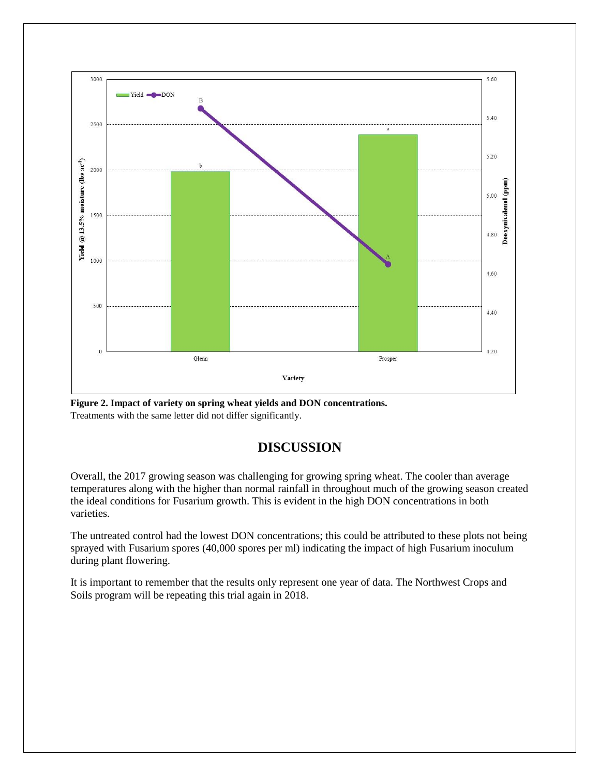

**Figure 2. Impact of variety on spring wheat yields and DON concentrations.** Treatments with the same letter did not differ significantly.

# **DISCUSSION**

Overall, the 2017 growing season was challenging for growing spring wheat. The cooler than average temperatures along with the higher than normal rainfall in throughout much of the growing season created the ideal conditions for Fusarium growth. This is evident in the high DON concentrations in both varieties.

The untreated control had the lowest DON concentrations; this could be attributed to these plots not being sprayed with Fusarium spores (40,000 spores per ml) indicating the impact of high Fusarium inoculum during plant flowering.

It is important to remember that the results only represent one year of data. The Northwest Crops and Soils program will be repeating this trial again in 2018.